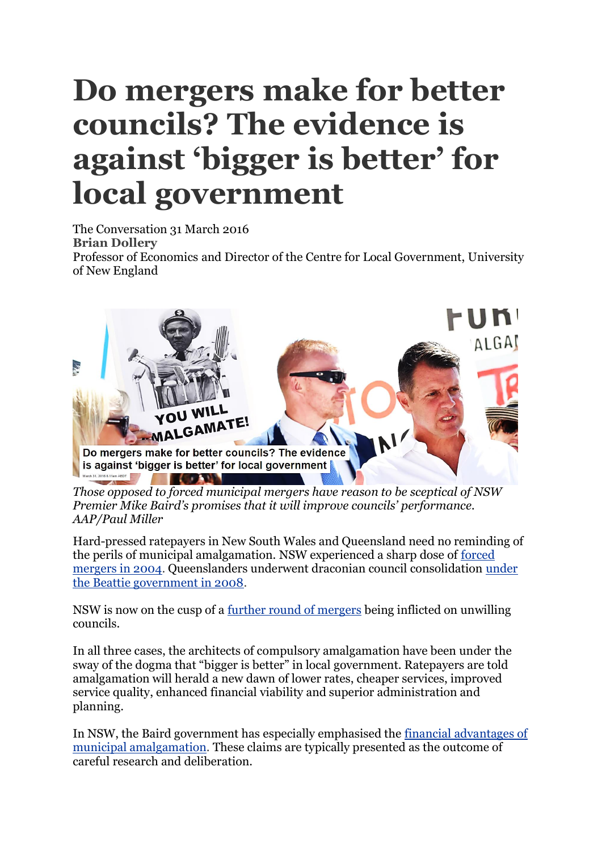## **Do mergers make for better councils? The evidence is against 'bigger is better' for local government**

The Conversation 31 March 2016

**Brian [Dollery](https://theconversation.com/profiles/brian-dollery-162945)**

Professor of Economics and Director of the Centre for Local Government, University of New England



*Those opposed to forced municipal mergers have reason to be sceptical of NSW Premier Mike Baird's promises that it will improve councils' performance. AAP/Paul Miller*

Hard-pressed ratepayers in New South Wales and Queensland need no reminding of the perils of municipal amalgamation. NSW experienced a sharp dose of [forced](http://www.abc.net.au/news/2004-02-07/nsw-considering-more-forced-mergers/131764)  [mergers in 2004.](http://www.abc.net.au/news/2004-02-07/nsw-considering-more-forced-mergers/131764) Queenslanders underwent draconian council consolidation [under](http://www.abc.net.au/news/2007-08-10/council-amalgamation-laws-pass-through-qld/636100)  [the Beattie government in 2008.](http://www.abc.net.au/news/2007-08-10/council-amalgamation-laws-pass-through-qld/636100)

NSW is now on the cusp of a [further round of mergers](http://www.smh.com.au/nsw/council-mergers-baird-government-reveals-which-sydney-councils-will-change-20151217-glqk5y.html) being inflicted on unwilling councils.

In all three cases, the architects of compulsory amalgamation have been under the sway of the dogma that "bigger is better" in local government. Ratepayers are told amalgamation will herald a new dawn of lower rates, cheaper services, improved service quality, enhanced financial viability and superior administration and planning.

In NSW, the Baird government has especially emphasised the [financial advantages of](http://www.fitforthefuture.nsw.gov.au/investing-in-local-government-reform)  [municipal amalgamation.](http://www.fitforthefuture.nsw.gov.au/investing-in-local-government-reform) These claims are typically presented as the outcome of careful research and deliberation.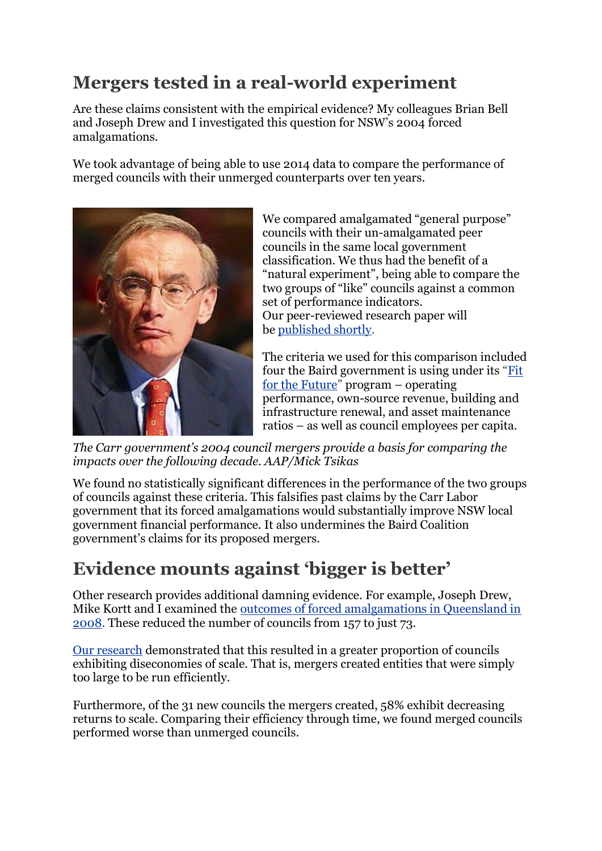## **Mergers tested in a real-world experiment**

Are these claims consistent with the empirical evidence? My colleagues Brian Bell and Joseph Drew and I investigated this question for NSW's 2004 forced amalgamations.

We took advantage of being able to use 2014 data to compare the performance of merged councils with their unmerged counterparts over ten years.



We compared amalgamated "general purpose" councils with their un-amalgamated peer councils in the same local government classification. We thus had the benefit of a "natural experiment", being able to compare the two groups of "like" councils against a common set of performance indicators. Our peer-reviewed research paper will be [published shortly.](http://esa.snapdev.com.au/news/15991)

The criteria we used for this comparison included four the Baird government is using under its "[Fit](http://www.fitforthefuture.nsw.gov.au/)  [for the Future](http://www.fitforthefuture.nsw.gov.au/)" program – operating performance, own-source revenue, building and infrastructure renewal, and asset maintenance ratios – as well as council employees per capita.

*The Carr government's 2004 council mergers provide a basis for comparing the impacts over the following decade. AAP/Mick Tsikas*

We found no statistically significant differences in the performance of the two groups of councils against these criteria. This falsifies past claims by the Carr Labor government that its forced amalgamations would substantially improve NSW local government financial performance. It also undermines the Baird Coalition government's claims for its proposed mergers.

## **Evidence mounts against 'bigger is better'**

Other research provides additional damning evidence. For example, Joseph Drew, Mike Kortt and I examined the [outcomes of forced amalgamations in Queensland in](http://www.abc.net.au/news/2016-02-16/nsw-urged-not-to-repeat-qlds-council-amalgamation-mistakes/7167322)  [2008.](http://www.abc.net.au/news/2016-02-16/nsw-urged-not-to-repeat-qlds-council-amalgamation-mistakes/7167322) These reduced the number of councils from 157 to just 73.

[Our research](http://www.tandfonline.com/doi/abs/10.1080/03003930.2013.874341?journalCode=flgs20) demonstrated that this resulted in a greater proportion of councils exhibiting diseconomies of scale. That is, mergers created entities that were simply too large to be run efficiently.

Furthermore, of the 31 new councils the mergers created, 58% exhibit decreasing returns to scale. Comparing their efficiency through time, we found merged councils performed worse than unmerged councils.